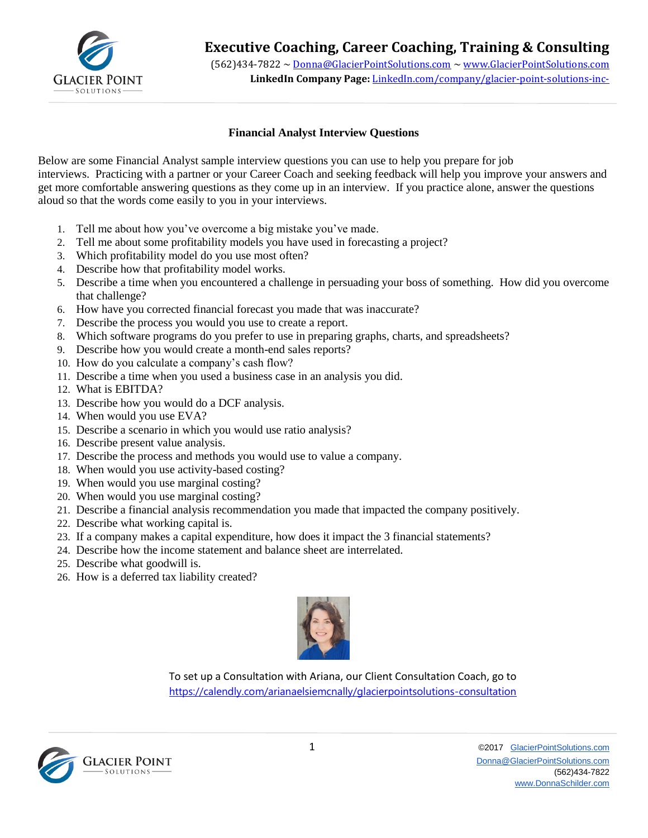

## **Executive Coaching, Career Coaching, Training & Consulting**

(562)434-7822 ~ [Donna@GlacierPointSolutions.com](mailto:Donna@GlacierPointSolutions.com) ~ [www.GlacierPointSolutions.com](http://www.glacierpointsolutions.com/) **LinkedIn Company Page:** LinkedIn.com/company/glacier-point-solutions-inc-

## **Financial Analyst Interview Questions**

Below are some Financial Analyst sample interview questions you can use to help you prepare for job interviews. Practicing with a partner or your Career Coach and seeking feedback will help you improve your answers and get more comfortable answering questions as they come up in an interview. If you practice alone, answer the questions aloud so that the words come easily to you in your interviews.

- 1. Tell me about how you've overcome a big mistake you've made.
- 2. Tell me about some profitability models you have used in forecasting a project?
- 3. Which profitability model do you use most often?
- 4. Describe how that profitability model works.
- 5. Describe a time when you encountered a challenge in persuading your boss of something. How did you overcome that challenge?
- 6. [How have you corrected financial forecast you made that was inaccurate?](http://financialanalystinterviewquestions.com/what-was-the-best-financial-forecast-and-the-worst-financial-forecast-you-have-made-in-your-job-so-far/)
- 7. Describe the process you would you use to create a report.
- 8. Which software programs do you prefer to use in preparing graphs, charts, and spreadsheets?
- 9. Describe how you would create a month-end sales reports?
- 10. How do you calculate a company's cash flow?
- 11. Describe a time when you used a business case in an analysis you did.
- 12. What is EBITDA?
- 13. Describe how you would do a DCF analysis.
- 14. When would you use EVA?
- 15. Describe a scenario in which you would use ratio analysis?
- 16. Describe present value analysis.
- 17. Describe the process and methods you would use to value a company.
- 18. When would you use activity-based costing?
- 19. When would you use marginal costing?
- 20. When would you use marginal costing?
- 21. Describe a financial analysis recommendation you made that impacted the company positively.
- 22. Describe what working capital is.
- 23. If a company makes a capital expenditure, how does it impact the 3 financial statements?
- 24. Describe how the income statement and balance sheet are interrelated.
- 25. Describe what goodwill is.
- 26. How is a deferred tax liability created?



To set up a Consultation with Ariana, our Client Consultation Coach, go to <https://calendly.com/arianaelsiemcnally/glacierpointsolutions-consultation>